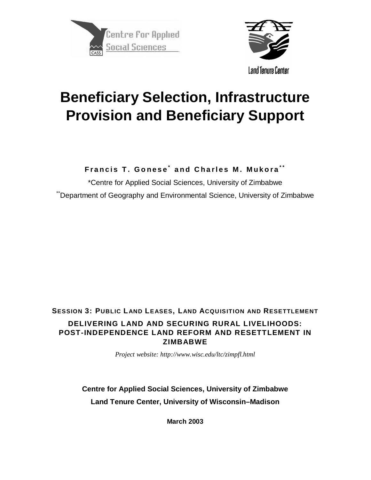



# **Beneficiary Selection, Infrastructure Provision and Beneficiary Support**

**Francis T. Gonese \* and Charles M. Mukora \* \***

\*Centre for Applied Social Sciences, University of Zimbabwe "Department of Geography and Environmental Science, University of Zimbabwe

# **SESSION 3: PUBLIC LAND LEASES, LAND ACQUISITION AND RESETTLEMENT DELIVERING LAND AND SECURING RURAL LIVELIHOODS: POST-INDEPENDENCE LAND REFORM AND RESETTLEMENT IN ZIMBABWE**

*Project website: http://www.wisc.edu/ltc/zimpfl.html*

**Centre for Applied Social Sciences, University of Zimbabwe Land Tenure Center, University of Wisconsin–Madison**

**March 2003**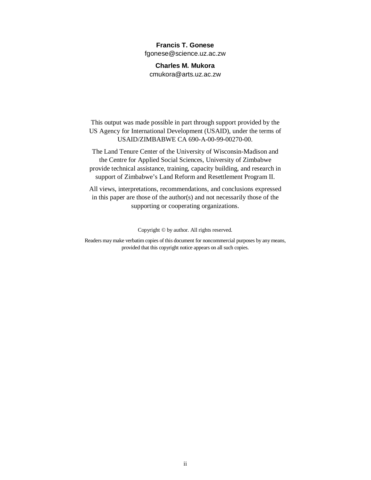#### **Francis T. Gonese**

fgonese@science.uz.ac.zw

**Charles M. Mukora** cmukora@arts.uz.ac.zw

This output was made possible in part through support provided by the US Agency for International Development (USAID), under the terms of USAID/ZIMBABWE CA 690-A-00-99-00270-00.

The Land Tenure Center of the University of Wisconsin-Madison and the Centre for Applied Social Sciences, University of Zimbabwe provide technical assistance, training, capacity building, and research in support of Zimbabwe's Land Reform and Resettlement Program II.

All views, interpretations, recommendations, and conclusions expressed in this paper are those of the author(s) and not necessarily those of the supporting or cooperating organizations.

Copyright © by author. All rights reserved.

Readers may make verbatim copies of this document for noncommercial purposes by any means, provided that this copyright notice appears on all such copies.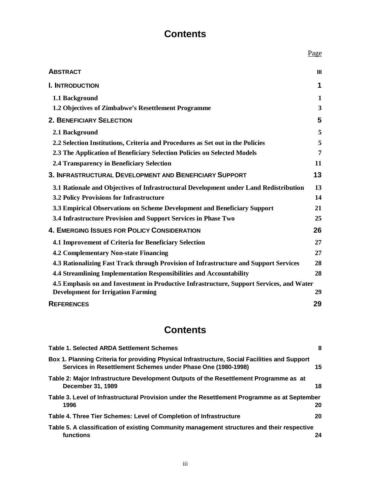# **Contents**

|                                                                                          | Page |
|------------------------------------------------------------------------------------------|------|
| <b>ABSTRACT</b>                                                                          | Ш    |
| <b>I. INTRODUCTION</b>                                                                   | 1    |
| 1.1 Background                                                                           | 1    |
| 1.2 Objectives of Zimbabwe's Resettlement Programme                                      | 3    |
| <b>2. BENEFICIARY SELECTION</b>                                                          | 5    |
| 2.1 Background                                                                           | 5    |
| 2.2 Selection Institutions, Criteria and Procedures as Set out in the Policies           | 5    |
| 2.3 The Application of Beneficiary Selection Policies on Selected Models                 | 7    |
| 2.4 Transparency in Beneficiary Selection                                                | 11   |
| 3. INFRASTRUCTURAL DEVELOPMENT AND BENEFICIARY SUPPORT                                   | 13   |
| 3.1 Rationale and Objectives of Infrastructural Development under Land Redistribution    | 13   |
| <b>3.2 Policy Provisions for Infrastructure</b>                                          | 14   |
| 3.3 Empirical Observations on Scheme Development and Beneficiary Support                 | 21   |
| 3.4 Infrastructure Provision and Support Services in Phase Two                           | 25   |
| <b>4. EMERGING ISSUES FOR POLICY CONSIDERATION</b>                                       | 26   |
| 4.1 Improvement of Criteria for Beneficiary Selection                                    | 27   |
| <b>4.2 Complementary Non-state Financing</b>                                             | 27   |
| 4.3 Rationalizing Fast Track through Provision of Infrastructure and Support Services    | 28   |
| 4.4 Streamlining Implementation Responsibilities and Accountability                      | 28   |
| 4.5 Emphasis on and Investment in Productive Infrastructure, Support Services, and Water |      |
| <b>Development for Irrigation Farming</b>                                                | 29   |
| <b>REFERENCES</b>                                                                        | 29   |

# **Contents**

| <b>Table 1. Selected ARDA Settlement Schemes</b>                                                                                                              | 8  |
|---------------------------------------------------------------------------------------------------------------------------------------------------------------|----|
| Box 1. Planning Criteria for providing Physical Infrastructure, Social Facilities and Support<br>Services in Resettlement Schemes under Phase One (1980-1998) | 15 |
| Table 2: Major Infrastructure Development Outputs of the Resettlement Programme as at<br>December 31, 1989                                                    | 18 |
| Table 3. Level of Infrastructural Provision under the Resettlement Programme as at September<br>1996                                                          | 20 |
| Table 4. Three Tier Schemes: Level of Completion of Infrastructure                                                                                            | 20 |
| Table 5. A classification of existing Community management structures and their respective<br>functions                                                       | 24 |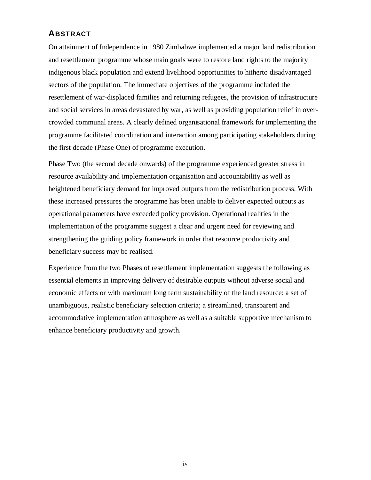# **ABSTRACT**

On attainment of Independence in 1980 Zimbabwe implemented a major land redistribution and resettlement programme whose main goals were to restore land rights to the majority indigenous black population and extend livelihood opportunities to hitherto disadvantaged sectors of the population. The immediate objectives of the programme included the resettlement of war-displaced families and returning refugees, the provision of infrastructure and social services in areas devastated by war, as well as providing population relief in overcrowded communal areas. A clearly defined organisational framework for implementing the programme facilitated coordination and interaction among participating stakeholders during the first decade (Phase One) of programme execution.

Phase Two (the second decade onwards) of the programme experienced greater stress in resource availability and implementation organisation and accountability as well as heightened beneficiary demand for improved outputs from the redistribution process. With these increased pressures the programme has been unable to deliver expected outputs as operational parameters have exceeded policy provision. Operational realities in the implementation of the programme suggest a clear and urgent need for reviewing and strengthening the guiding policy framework in order that resource productivity and beneficiary success may be realised.

Experience from the two Phases of resettlement implementation suggests the following as essential elements in improving delivery of desirable outputs without adverse social and economic effects or with maximum long term sustainability of the land resource: a set of unambiguous, realistic beneficiary selection criteria; a streamlined, transparent and accommodative implementation atmosphere as well as a suitable supportive mechanism to enhance beneficiary productivity and growth.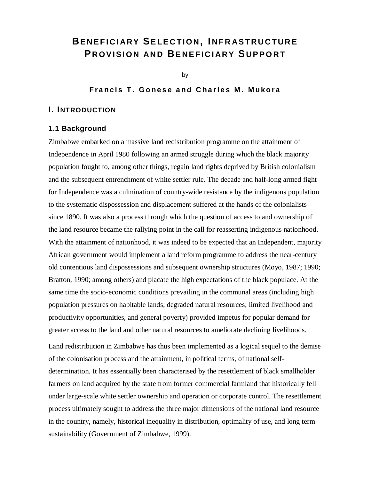# **BENEFICIARY SELECTION , I NFRASTRUCTURE P ROVISION AND BENEFICIARY S UPPORT**

by

## **Francis T. Gonese and Charles M. Mukora**

#### **I. INTRODUCTION**

#### **1.1 Background**

Zimbabwe embarked on a massive land redistribution programme on the attainment of Independence in April 1980 following an armed struggle during which the black majority population fought to, among other things, regain land rights deprived by British colonialism and the subsequent entrenchment of white settler rule. The decade and half-long armed fight for Independence was a culmination of country-wide resistance by the indigenous population to the systematic dispossession and displacement suffered at the hands of the colonialists since 1890. It was also a process through which the question of access to and ownership of the land resource became the rallying point in the call for reasserting indigenous nationhood. With the attainment of nationhood, it was indeed to be expected that an Independent, majority African government would implement a land reform programme to address the near-century old contentious land dispossessions and subsequent ownership structures (Moyo, 1987; 1990; Bratton, 1990; among others) and placate the high expectations of the black populace. At the same time the socio-economic conditions prevailing in the communal areas (including high population pressures on habitable lands; degraded natural resources; limited livelihood and productivity opportunities, and general poverty) provided impetus for popular demand for greater access to the land and other natural resources to ameliorate declining livelihoods.

Land redistribution in Zimbabwe has thus been implemented as a logical sequel to the demise of the colonisation process and the attainment, in political terms, of national selfdetermination. It has essentially been characterised by the resettlement of black smallholder farmers on land acquired by the state from former commercial farmland that historically fell under large-scale white settler ownership and operation or corporate control. The resettlement process ultimately sought to address the three major dimensions of the national land resource in the country, namely, historical inequality in distribution, optimality of use, and long term sustainability (Government of Zimbabwe, 1999).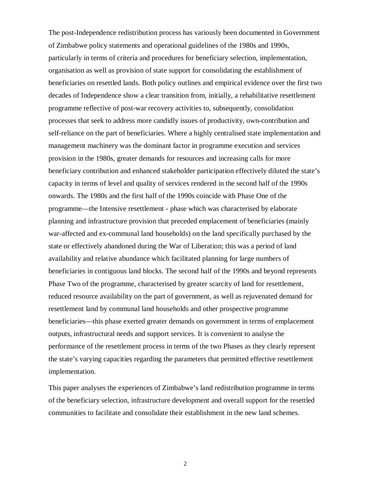The post-Independence redistribution process has variously been documented in Government of Zimbabwe policy statements and operational guidelines of the 1980s and 1990s, particularly in terms of criteria and procedures for beneficiary selection, implementation, organisation as well as provision of state support for consolidating the establishment of beneficiaries on resettled lands. Both policy outlines and empirical evidence over the first two decades of Independence show a clear transition from, initially, a rehabilitative resettlement programme reflective of post-war recovery activities to, subsequently, consolidation processes that seek to address more candidly issues of productivity, own-contribution and self-reliance on the part of beneficiaries. Where a highly centralised state implementation and management machinery was the dominant factor in programme execution and services provision in the 1980s, greater demands for resources and increasing calls for more beneficiary contribution and enhanced stakeholder participation effectively diluted the state's capacity in terms of level and quality of services rendered in the second half of the 1990s onwards. The 1980s and the first half of the 1990s coincide with Phase One of the programme—the Intensive resettlement - phase which was characterised by elaborate planning and infrastructure provision that preceded emplacement of beneficiaries (mainly war-affected and ex-communal land households) on the land specifically purchased by the state or effectively abandoned during the War of Liberation; this was a period of land availability and relative abundance which facilitated planning for large numbers of beneficiaries in contiguous land blocks. The second half of the 1990s and beyond represents Phase Two of the programme, characterised by greater scarcity of land for resettlement, reduced resource availability on the part of government, as well as rejuvenated demand for resettlement land by communal land households and other prospective programme beneficiaries—this phase exerted greater demands on government in terms of emplacement outputs, infrastructural needs and support services. It is convenient to analyse the performance of the resettlement process in terms of the two Phases as they clearly represent the state's varying capacities regarding the parameters that permitted effective resettlement implementation.

This paper analyses the experiences of Zimbabwe's land redistribution programme in terms of the beneficiary selection, infrastructure development and overall support for the resettled communities to facilitate and consolidate their establishment in the new land schemes.

2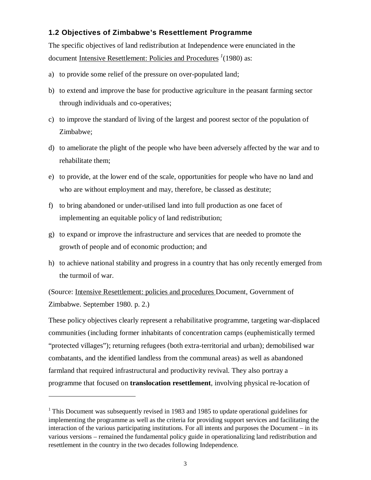# **1.2 Objectives of Zimbabwe's Resettlement Programme**

The specific objectives of land redistribution at Independence were enunciated in the document Intensive Resettlement: Policies and Procedures *<sup>1</sup>* (1980) as:

- a) to provide some relief of the pressure on over-populated land;
- b) to extend and improve the base for productive agriculture in the peasant farming sector through individuals and co-operatives;
- c) to improve the standard of living of the largest and poorest sector of the population of Zimbabwe;
- d) to ameliorate the plight of the people who have been adversely affected by the war and to rehabilitate them;
- e) to provide, at the lower end of the scale, opportunities for people who have no land and who are without employment and may, therefore, be classed as destitute;
- f) to bring abandoned or under-utilised land into full production as one facet of implementing an equitable policy of land redistribution;
- g) to expand or improve the infrastructure and services that are needed to promote the growth of people and of economic production; and
- h) to achieve national stability and progress in a country that has only recently emerged from the turmoil of war.

(Source: Intensive Resettlement: policies and procedures Document, Government of Zimbabwe. September 1980. p. 2.)

These policy objectives clearly represent a rehabilitative programme, targeting war-displaced communities (including former inhabitants of concentration camps (euphemistically termed "protected villages"); returning refugees (both extra-territorial and urban); demobilised war combatants, and the identified landless from the communal areas) as well as abandoned farmland that required infrastructural and productivity revival. They also portray a programme that focused on **translocation resettlement**, involving physical re-location of

 $\overline{a}$ 

<sup>&</sup>lt;sup>1</sup> This Document was subsequently revised in 1983 and 1985 to update operational guidelines for implementing the programme as well as the criteria for providing support services and facilitating the interaction of the various participating institutions. For all intents and purposes the Document – in its various versions – remained the fundamental policy guide in operationalizing land redistribution and resettlement in the country in the two decades following Independence.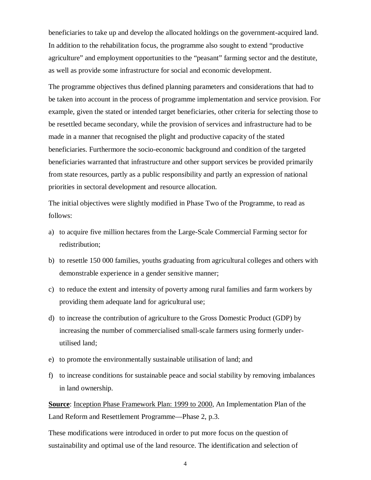beneficiaries to take up and develop the allocated holdings on the government-acquired land. In addition to the rehabilitation focus, the programme also sought to extend "productive agriculture" and employment opportunities to the "peasant" farming sector and the destitute, as well as provide some infrastructure for social and economic development.

The programme objectives thus defined planning parameters and considerations that had to be taken into account in the process of programme implementation and service provision. For example, given the stated or intended target beneficiaries, other criteria for selecting those to be resettled became secondary, while the provision of services and infrastructure had to be made in a manner that recognised the plight and productive capacity of the stated beneficiaries. Furthermore the socio-economic background and condition of the targeted beneficiaries warranted that infrastructure and other support services be provided primarily from state resources, partly as a public responsibility and partly an expression of national priorities in sectoral development and resource allocation.

The initial objectives were slightly modified in Phase Two of the Programme, to read as follows:

- a) to acquire five million hectares from the Large-Scale Commercial Farming sector for redistribution;
- b) to resettle 150 000 families, youths graduating from agricultural colleges and others with demonstrable experience in a gender sensitive manner;
- c) to reduce the extent and intensity of poverty among rural families and farm workers by providing them adequate land for agricultural use;
- d) to increase the contribution of agriculture to the Gross Domestic Product (GDP) by increasing the number of commercialised small-scale farmers using formerly underutilised land;
- e) to promote the environmentally sustainable utilisation of land; and
- f) to increase conditions for sustainable peace and social stability by removing imbalances in land ownership.

**Source**: Inception Phase Framework Plan: 1999 to 2000, An Implementation Plan of the Land Reform and Resettlement Programme—Phase 2, p.3.

These modifications were introduced in order to put more focus on the question of sustainability and optimal use of the land resource. The identification and selection of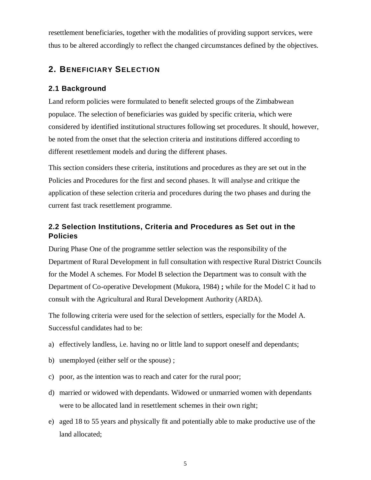resettlement beneficiaries, together with the modalities of providing support services, were thus to be altered accordingly to reflect the changed circumstances defined by the objectives.

# **2. BENEFICIARY SELECTION**

#### **2.1 Background**

Land reform policies were formulated to benefit selected groups of the Zimbabwean populace. The selection of beneficiaries was guided by specific criteria, which were considered by identified institutional structures following set procedures. It should, however, be noted from the onset that the selection criteria and institutions differed according to different resettlement models and during the different phases.

This section considers these criteria, institutions and procedures as they are set out in the Policies and Procedures for the first and second phases. It will analyse and critique the application of these selection criteria and procedures during the two phases and during the current fast track resettlement programme.

# **2.2 Selection Institutions, Criteria and Procedures as Set out in the Policies**

During Phase One of the programme settler selection was the responsibility of the Department of Rural Development in full consultation with respective Rural District Councils for the Model A schemes. For Model B selection the Department was to consult with the Department of Co-operative Development (Mukora, 1984) **;** while for the Model C it had to consult with the Agricultural and Rural Development Authority (ARDA).

The following criteria were used for the selection of settlers, especially for the Model A. Successful candidates had to be:

- a) effectively landless, i.e. having no or little land to support oneself and dependants;
- b) unemployed (either self or the spouse) ;
- c) poor, as the intention was to reach and cater for the rural poor;
- d) married or widowed with dependants. Widowed or unmarried women with dependants were to be allocated land in resettlement schemes in their own right;
- e) aged 18 to 55 years and physically fit and potentially able to make productive use of the land allocated;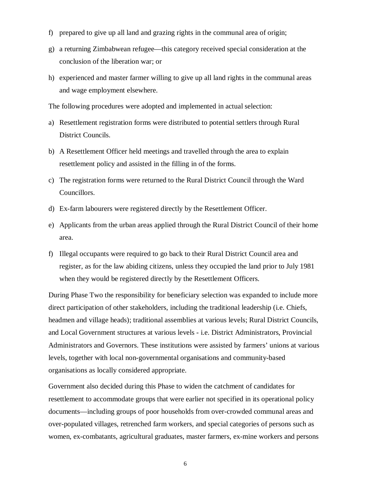- f) prepared to give up all land and grazing rights in the communal area of origin;
- g) a returning Zimbabwean refugee—this category received special consideration at the conclusion of the liberation war; or
- h) experienced and master farmer willing to give up all land rights in the communal areas and wage employment elsewhere.

The following procedures were adopted and implemented in actual selection:

- a) Resettlement registration forms were distributed to potential settlers through Rural District Councils.
- b) A Resettlement Officer held meetings and travelled through the area to explain resettlement policy and assisted in the filling in of the forms.
- c) The registration forms were returned to the Rural District Council through the Ward Councillors.
- d) Ex-farm labourers were registered directly by the Resettlement Officer.
- e) Applicants from the urban areas applied through the Rural District Council of their home area.
- f) Illegal occupants were required to go back to their Rural District Council area and register, as for the law abiding citizens, unless they occupied the land prior to July 1981 when they would be registered directly by the Resettlement Officers.

During Phase Two the responsibility for beneficiary selection was expanded to include more direct participation of other stakeholders, including the traditional leadership (i.e. Chiefs, headmen and village heads); traditional assemblies at various levels; Rural District Councils, and Local Government structures at various levels - i.e. District Administrators, Provincial Administrators and Governors. These institutions were assisted by farmers' unions at various levels, together with local non-governmental organisations and community-based organisations as locally considered appropriate.

Government also decided during this Phase to widen the catchment of candidates for resettlement to accommodate groups that were earlier not specified in its operational policy documents—including groups of poor households from over-crowded communal areas and over-populated villages, retrenched farm workers, and special categories of persons such as women, ex-combatants, agricultural graduates, master farmers, ex-mine workers and persons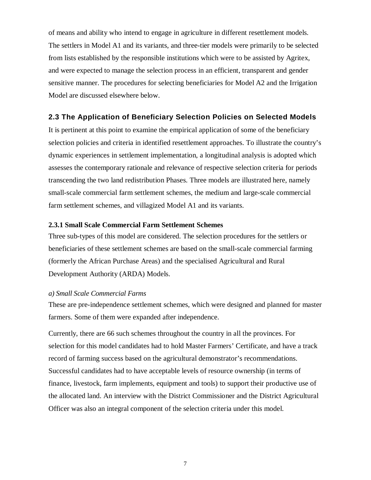of means and ability who intend to engage in agriculture in different resettlement models. The settlers in Model A1 and its variants, and three-tier models were primarily to be selected from lists established by the responsible institutions which were to be assisted by Agritex, and were expected to manage the selection process in an efficient, transparent and gender sensitive manner. The procedures for selecting beneficiaries for Model A2 and the Irrigation Model are discussed elsewhere below.

#### **2.3 The Application of Beneficiary Selection Policies on Selected Models**

It is pertinent at this point to examine the empirical application of some of the beneficiary selection policies and criteria in identified resettlement approaches. To illustrate the country's dynamic experiences in settlement implementation, a longitudinal analysis is adopted which assesses the contemporary rationale and relevance of respective selection criteria for periods transcending the two land redistribution Phases. Three models are illustrated here, namely small-scale commercial farm settlement schemes, the medium and large-scale commercial farm settlement schemes, and villagized Model A1 and its variants.

#### **2.3.1 Small Scale Commercial Farm Settlement Schemes**

Three sub-types of this model are considered. The selection procedures for the settlers or beneficiaries of these settlement schemes are based on the small-scale commercial farming (formerly the African Purchase Areas) and the specialised Agricultural and Rural Development Authority (ARDA) Models.

#### *a) Small Scale Commercial Farms*

These are pre-independence settlement schemes, which were designed and planned for master farmers. Some of them were expanded after independence.

Currently, there are 66 such schemes throughout the country in all the provinces. For selection for this model candidates had to hold Master Farmers' Certificate, and have a track record of farming success based on the agricultural demonstrator's recommendations. Successful candidates had to have acceptable levels of resource ownership (in terms of finance, livestock, farm implements, equipment and tools) to support their productive use of the allocated land. An interview with the District Commissioner and the District Agricultural Officer was also an integral component of the selection criteria under this model.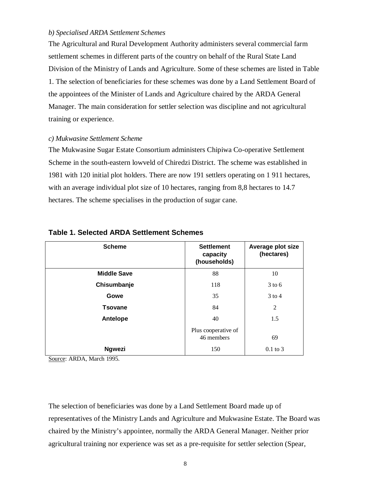#### *b) Specialised ARDA Settlement Schemes*

The Agricultural and Rural Development Authority administers several commercial farm settlement schemes in different parts of the country on behalf of the Rural State Land Division of the Ministry of Lands and Agriculture. Some of these schemes are listed in Table 1. The selection of beneficiaries for these schemes was done by a Land Settlement Board of the appointees of the Minister of Lands and Agriculture chaired by the ARDA General Manager. The main consideration for settler selection was discipline and not agricultural training or experience.

#### *c) Mukwasine Settlement Scheme*

The Mukwasine Sugar Estate Consortium administers Chipiwa Co-operative Settlement Scheme in the south-eastern lowveld of Chiredzi District. The scheme was established in 1981 with 120 initial plot holders. There are now 191 settlers operating on 1 911 hectares, with an average individual plot size of 10 hectares, ranging from 8,8 hectares to 14.7 hectares. The scheme specialises in the production of sugar cane.

| <b>Scheme</b>      | <b>Settlement</b><br>capacity<br>(households) | Average plot size<br>(hectares) |
|--------------------|-----------------------------------------------|---------------------------------|
| <b>Middle Save</b> | 88                                            | 10                              |
| Chisumbanje        | 118                                           | $3$ to 6                        |
| Gowe               | 35                                            | $3$ to 4                        |
| <b>Tsovane</b>     | 84                                            | $\overline{2}$                  |
| Antelope           | 40                                            | 1.5                             |
|                    | Plus cooperative of<br>46 members             | 69                              |
| <b>Ngwezi</b>      | 150                                           | $0.1$ to 3                      |

#### **Table 1. Selected ARDA Settlement Schemes**

Source: ARDA, March 1995.

The selection of beneficiaries was done by a Land Settlement Board made up of representatives of the Ministry Lands and Agriculture and Mukwasine Estate. The Board was chaired by the Ministry's appointee, normally the ARDA General Manager. Neither prior agricultural training nor experience was set as a pre-requisite for settler selection (Spear,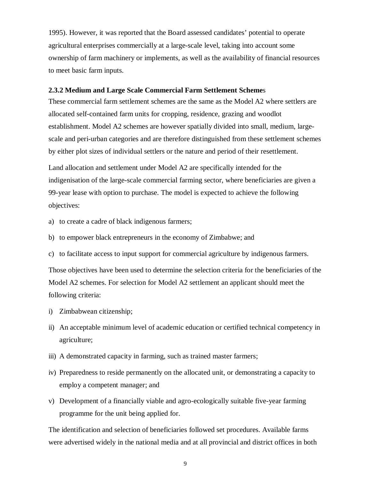1995). However, it was reported that the Board assessed candidates' potential to operate agricultural enterprises commercially at a large-scale level, taking into account some ownership of farm machinery or implements, as well as the availability of financial resources to meet basic farm inputs.

#### **2.3.2 Medium and Large Scale Commercial Farm Settlement Scheme**s

These commercial farm settlement schemes are the same as the Model A2 where settlers are allocated self-contained farm units for cropping, residence, grazing and woodlot establishment. Model A2 schemes are however spatially divided into small, medium, largescale and peri-urban categories and are therefore distinguished from these settlement schemes by either plot sizes of individual settlers or the nature and period of their resettlement.

Land allocation and settlement under Model A2 are specifically intended for the indigenisation of the large-scale commercial farming sector, where beneficiaries are given a 99-year lease with option to purchase. The model is expected to achieve the following objectives:

- a) to create a cadre of black indigenous farmers;
- b) to empower black entrepreneurs in the economy of Zimbabwe; and
- c) to facilitate access to input support for commercial agriculture by indigenous farmers.

Those objectives have been used to determine the selection criteria for the beneficiaries of the Model A2 schemes. For selection for Model A2 settlement an applicant should meet the following criteria:

- i) Zimbabwean citizenship;
- ii) An acceptable minimum level of academic education or certified technical competency in agriculture;
- iii) A demonstrated capacity in farming, such as trained master farmers;
- iv) Preparedness to reside permanently on the allocated unit, or demonstrating a capacity to employ a competent manager; and
- v) Development of a financially viable and agro-ecologically suitable five-year farming programme for the unit being applied for.

The identification and selection of beneficiaries followed set procedures. Available farms were advertised widely in the national media and at all provincial and district offices in both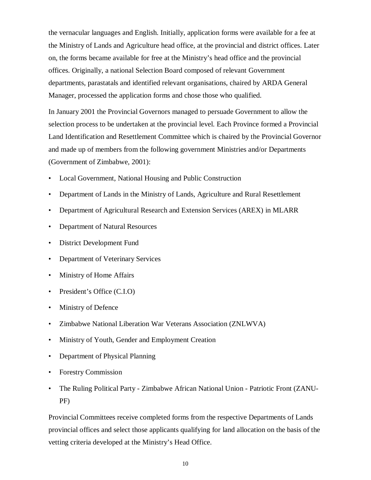the vernacular languages and English. Initially, application forms were available for a fee at the Ministry of Lands and Agriculture head office, at the provincial and district offices. Later on, the forms became available for free at the Ministry's head office and the provincial offices. Originally, a national Selection Board composed of relevant Government departments, parastatals and identified relevant organisations, chaired by ARDA General Manager, processed the application forms and chose those who qualified.

In January 2001 the Provincial Governors managed to persuade Government to allow the selection process to be undertaken at the provincial level. Each Province formed a Provincial Land Identification and Resettlement Committee which is chaired by the Provincial Governor and made up of members from the following government Ministries and/or Departments (Government of Zimbabwe, 2001):

- Local Government, National Housing and Public Construction
- Department of Lands in the Ministry of Lands, Agriculture and Rural Resettlement
- Department of Agricultural Research and Extension Services (AREX) in MLARR
- Department of Natural Resources
- District Development Fund
- Department of Veterinary Services
- Ministry of Home Affairs
- President's Office (C.I.O)
- Ministry of Defence
- Zimbabwe National Liberation War Veterans Association (ZNLWVA)
- Ministry of Youth, Gender and Employment Creation
- Department of Physical Planning
- Forestry Commission
- The Ruling Political Party Zimbabwe African National Union Patriotic Front (ZANU-PF)

Provincial Committees receive completed forms from the respective Departments of Lands provincial offices and select those applicants qualifying for land allocation on the basis of the vetting criteria developed at the Ministry's Head Office.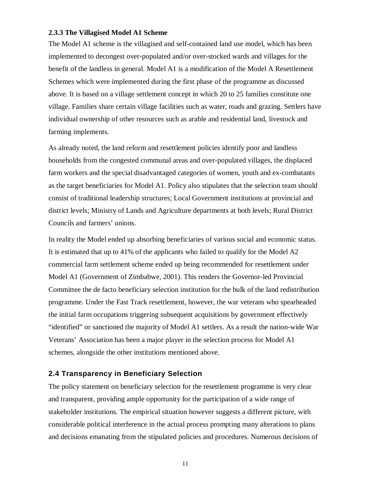#### **2.3.3 The Villagised Model A1 Scheme**

The Model A1 scheme is the villagised and self-contained land use model, which has been implemented to decongest over-populated and/or over-stocked wards and villages for the benefit of the landless in general. Model A1 is a modification of the Model A Resettlement Schemes which were implemented during the first phase of the programme as discussed above. It is based on a village settlement concept in which 20 to 25 families constitute one village. Families share certain village facilities such as water, roads and grazing. Settlers have individual ownership of other resources such as arable and residential land, livestock and farming implements.

As already noted, the land reform and resettlement policies identify poor and landless households from the congested communal areas and over-populated villages, the displaced farm workers and the special disadvantaged categories of women, youth and ex-combatants as the target beneficiaries for Model A1. Policy also stipulates that the selection team should consist of traditional leadership structures; Local Government institutions at provincial and district levels; Ministry of Lands and Agriculture departments at both levels; Rural District Councils and farmers' unions.

In reality the Model ended up absorbing beneficiaries of various social and economic status. It is estimated that up to 41% of the applicants who failed to qualify for the Model A2 commercial farm settlement scheme ended up being recommended for resettlement under Model A1 (Government of Zimbabwe, 2001). This renders the Governor-led Provincial Committee the de facto beneficiary selection institution for the bulk of the land redistribution programme. Under the Fast Track resettlement, however, the war veterans who spearheaded the initial farm occupations triggering subsequent acquisitions by government effectively "identified" or sanctioned the majority of Model A1 settlers. As a result the nation-wide War Veterans' Association has been a major player in the selection process for Model A1 schemes, alongside the other institutions mentioned above.

#### **2.4 Transparency in Beneficiary Selection**

The policy statement on beneficiary selection for the resettlement programme is very clear and transparent, providing ample opportunity for the participation of a wide range of stakeholder institutions. The empirical situation however suggests a different picture, with considerable political interference in the actual process prompting many alterations to plans and decisions emanating from the stipulated policies and procedures. Numerous decisions of

11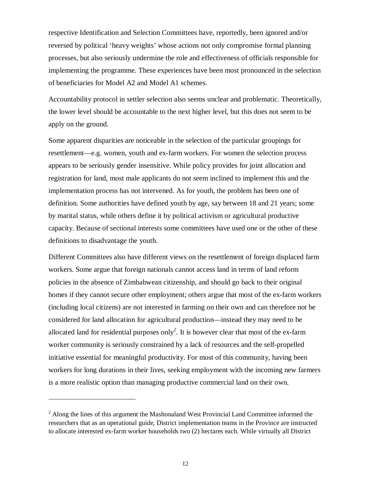respective Identification and Selection Committees have, reportedly, been ignored and/or reversed by political 'heavy weights' whose actions not only compromise formal planning processes, but also seriously undermine the role and effectiveness of officials responsible for implementing the programme. These experiences have been most pronounced in the selection of beneficiaries for Model A2 and Model A1 schemes.

Accountability protocol in settler selection also seems unclear and problematic. Theoretically, the lower level should be accountable to the next higher level, but this does not seem to be apply on the ground.

Some apparent disparities are noticeable in the selection of the particular groupings for resettlement—e.g. women, youth and ex-farm workers. For women the selection process appears to be seriously gender insensitive. While policy provides for joint allocation and registration for land, most male applicants do not seem inclined to implement this and the implementation process has not intervened. As for youth, the problem has been one of definition. Some authorities have defined youth by age, say between 18 and 21 years; some by marital status, while others define it by political activism or agricultural productive capacity. Because of sectional interests some committees have used one or the other of these definitions to disadvantage the youth.

Different Committees also have different views on the resettlement of foreign displaced farm workers. Some argue that foreign nationals cannot access land in terms of land reform policies in the absence of Zimbabwean citizenship, and should go back to their original homes if they cannot secure other employment; others argue that most of the ex-farm workers (including local citizens) are not interested in farming on their own and can therefore not be considered for land allocation for agricultural production—instead they may need to be allocated land for residential purposes only*<sup>2</sup>* . It is however clear that most of the ex-farm worker community is seriously constrained by a lack of resources and the self-propelled initiative essential for meaningful productivity. For most of this community, having been workers for long durations in their lives, seeking employment with the incoming new farmers is a more realistic option than managing productive commercial land on their own.

 $\overline{a}$ 

<sup>&</sup>lt;sup>2</sup> Along the lines of this argument the Mashonaland West Provincial Land Committee informed the researchers that as an operational guide, District implementation teams in the Province are instructed to allocate interested ex-farm worker households two (2) hectares each. While virtually all District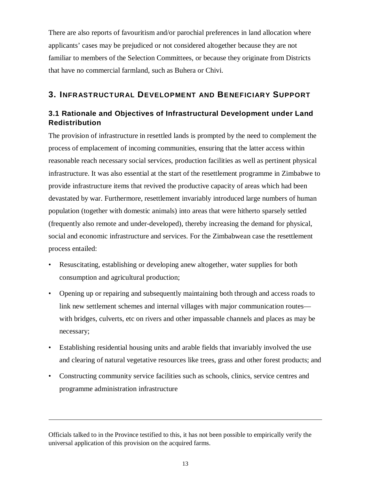There are also reports of favouritism and/or parochial preferences in land allocation where applicants' cases may be prejudiced or not considered altogether because they are not familiar to members of the Selection Committees, or because they originate from Districts that have no commercial farmland, such as Buhera or Chivi.

# **3. INFRASTRUCTURAL DEVELOPMENT AND BENEFICIARY SUPPORT**

# **3.1 Rationale and Objectives of Infrastructural Development under Land Redistribution**

The provision of infrastructure in resettled lands is prompted by the need to complement the process of emplacement of incoming communities, ensuring that the latter access within reasonable reach necessary social services, production facilities as well as pertinent physical infrastructure. It was also essential at the start of the resettlement programme in Zimbabwe to provide infrastructure items that revived the productive capacity of areas which had been devastated by war. Furthermore, resettlement invariably introduced large numbers of human population (together with domestic animals) into areas that were hitherto sparsely settled (frequently also remote and under-developed), thereby increasing the demand for physical, social and economic infrastructure and services. For the Zimbabwean case the resettlement process entailed:

- Resuscitating, establishing or developing anew altogether, water supplies for both consumption and agricultural production;
- Opening up or repairing and subsequently maintaining both through and access roads to link new settlement schemes and internal villages with major communication routes with bridges, culverts, etc on rivers and other impassable channels and places as may be necessary;
- Establishing residential housing units and arable fields that invariably involved the use and clearing of natural vegetative resources like trees, grass and other forest products; and
- Constructing community service facilities such as schools, clinics, service centres and programme administration infrastructure

 $\overline{a}$ 

Officials talked to in the Province testified to this, it has not been possible to empirically verify the universal application of this provision on the acquired farms.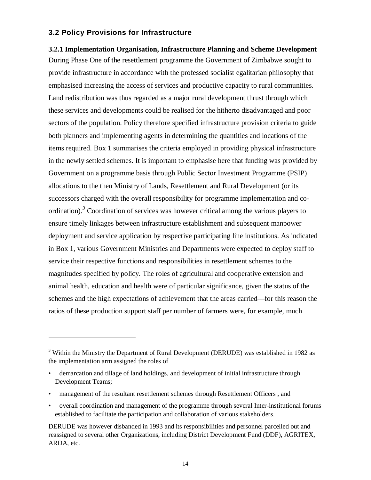#### **3.2 Policy Provisions for Infrastructure**

 $\overline{a}$ 

**3.2.1 Implementation Organisation, Infrastructure Planning and Scheme Development** During Phase One of the resettlement programme the Government of Zimbabwe sought to provide infrastructure in accordance with the professed socialist egalitarian philosophy that emphasised increasing the access of services and productive capacity to rural communities. Land redistribution was thus regarded as a major rural development thrust through which these services and developments could be realised for the hitherto disadvantaged and poor sectors of the population. Policy therefore specified infrastructure provision criteria to guide both planners and implementing agents in determining the quantities and locations of the items required. Box 1 summarises the criteria employed in providing physical infrastructure in the newly settled schemes. It is important to emphasise here that funding was provided by Government on a programme basis through Public Sector Investment Programme (PSIP) allocations to the then Ministry of Lands, Resettlement and Rural Development (or its successors charged with the overall responsibility for programme implementation and coordination).*<sup>3</sup>* Coordination of services was however critical among the various players to ensure timely linkages between infrastructure establishment and subsequent manpower deployment and service application by respective participating line institutions. As indicated in Box 1, various Government Ministries and Departments were expected to deploy staff to service their respective functions and responsibilities in resettlement schemes to the magnitudes specified by policy. The roles of agricultural and cooperative extension and animal health, education and health were of particular significance, given the status of the schemes and the high expectations of achievement that the areas carried—for this reason the ratios of these production support staff per number of farmers were, for example, much

- management of the resultant resettlement schemes through Resettlement Officers , and
- overall coordination and management of the programme through several Inter-institutional forums established to facilitate the participation and collaboration of various stakeholders.

<sup>&</sup>lt;sup>3</sup> Within the Ministry the Department of Rural Development (DERUDE) was established in 1982 as the implementation arm assigned the roles of

<sup>•</sup> demarcation and tillage of land holdings, and development of initial infrastructure through Development Teams;

DERUDE was however disbanded in 1993 and its responsibilities and personnel parcelled out and reassigned to several other Organizations, including District Development Fund (DDF), AGRITEX, ARDA, etc.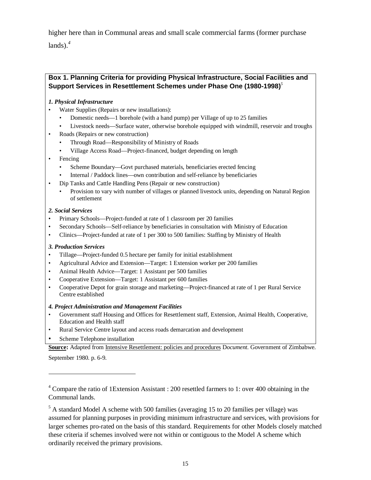higher here than in Communal areas and small scale commercial farms (former purchase  $lands)<sup>4</sup>$ 

#### **Box 1. Planning Criteria for providing Physical Infrastructure, Social Facilities and Support Services in Resettlement Schemes under Phase One (1980-1998)***<sup>5</sup>*

#### *1. Physical Infrastructure*

- Water Supplies (Repairs or new installations):
	- Domestic needs—1 borehole (with a hand pump) per Village of up to 25 families
	- Livestock needs—Surface water, otherwise borehole equipped with windmill, reservoir and troughs
- Roads (Repairs or new construction)
	- Through Road—Responsibility of Ministry of Roads
	- Village Access Road—Project-financed, budget depending on length
- Fencing
	- Scheme Boundary—Govt purchased materials, beneficiaries erected fencing
	- Internal / Paddock lines—own contribution and self-reliance by beneficiaries
- Dip Tanks and Cattle Handling Pens (Repair or new construction)
	- Provision to vary with number of villages or planned livestock units, depending on Natural Region of settlement

#### *2. Social Services*

- Primary Schools—Project-funded at rate of 1 classroom per 20 families
- Secondary Schools—Self-reliance by beneficiaries in consultation with Ministry of Education
- Clinics—Project-funded at rate of 1 per 300 to 500 families: Staffing by Ministry of Health

#### *3. Production Services*

- Tillage—Project-funded 0.5 hectare per family for initial establishment
- Agricultural Advice and Extension—Target: 1 Extension worker per 200 families
- Animal Health Advice—Target: 1 Assistant per 500 families
- Cooperative Extension—Target: 1 Assistant per 600 families
- Cooperative Depot for grain storage and marketing—Project-financed at rate of 1 per Rural Service Centre established

#### *4. Project Administration and Management Facilities*

- Government staff Housing and Offices for Resettlement staff, Extension, Animal Health, Cooperative, Education and Health staff
- Rural Service Centre layout and access roads demarcation and development
- Scheme Telephone installation

**Source:** Adapted from Intensive Resettlement: policies and procedures D*ocument.* Government of Zimbabwe.

September 1980. p. 6-9.

 $\overline{a}$ 

<sup>&</sup>lt;sup>4</sup> Compare the ratio of 1Extension Assistant : 200 resettled farmers to 1: over 400 obtaining in the Communal lands.

<sup>&</sup>lt;sup>5</sup> A standard Model A scheme with 500 families (averaging 15 to 20 families per village) was assumed for planning purposes in providing minimum infrastructure and services, with provisions for larger schemes pro-rated on the basis of this standard. Requirements for other Models closely matched these criteria if schemes involved were not within or contiguous to the Model A scheme which ordinarily received the primary provisions.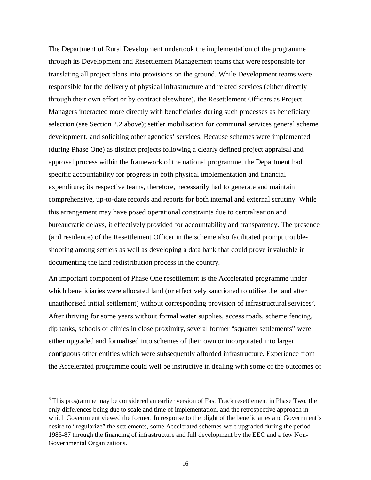The Department of Rural Development undertook the implementation of the programme through its Development and Resettlement Management teams that were responsible for translating all project plans into provisions on the ground. While Development teams were responsible for the delivery of physical infrastructure and related services (either directly through their own effort or by contract elsewhere), the Resettlement Officers as Project Managers interacted more directly with beneficiaries during such processes as beneficiary selection (see Section 2.2 above); settler mobilisation for communal services general scheme development, and soliciting other agencies' services. Because schemes were implemented (during Phase One) as distinct projects following a clearly defined project appraisal and approval process within the framework of the national programme, the Department had specific accountability for progress in both physical implementation and financial expenditure; its respective teams, therefore, necessarily had to generate and maintain comprehensive, up-to-date records and reports for both internal and external scrutiny. While this arrangement may have posed operational constraints due to centralisation and bureaucratic delays, it effectively provided for accountability and transparency. The presence (and residence) of the Resettlement Officer in the scheme also facilitated prompt troubleshooting among settlers as well as developing a data bank that could prove invaluable in documenting the land redistribution process in the country.

An important component of Phase One resettlement is the Accelerated programme under which beneficiaries were allocated land (or effectively sanctioned to utilise the land after unauthorised initial settlement) without corresponding provision of infrastructural services<sup>6</sup>. After thriving for some years without formal water supplies, access roads, scheme fencing, dip tanks, schools or clinics in close proximity, several former "squatter settlements" were either upgraded and formalised into schemes of their own or incorporated into larger contiguous other entities which were subsequently afforded infrastructure. Experience from the Accelerated programme could well be instructive in dealing with some of the outcomes of

 $\overline{a}$ 

<sup>&</sup>lt;sup>6</sup> This programme may be considered an earlier version of Fast Track resettlement in Phase Two, the only differences being due to scale and time of implementation, and the retrospective approach in which Government viewed the former. In response to the plight of the beneficiaries and Government's desire to "regularize" the settlements, some Accelerated schemes were upgraded during the period 1983-87 through the financing of infrastructure and full development by the EEC and a few Non-Governmental Organizations.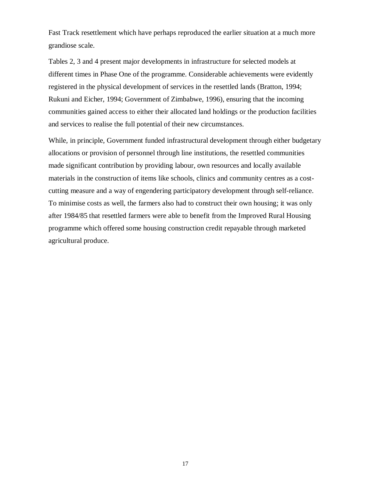Fast Track resettlement which have perhaps reproduced the earlier situation at a much more grandiose scale.

Tables 2, 3 and 4 present major developments in infrastructure for selected models at different times in Phase One of the programme. Considerable achievements were evidently registered in the physical development of services in the resettled lands (Bratton, 1994; Rukuni and Eicher, 1994; Government of Zimbabwe, 1996), ensuring that the incoming communities gained access to either their allocated land holdings or the production facilities and services to realise the full potential of their new circumstances.

While, in principle, Government funded infrastructural development through either budgetary allocations or provision of personnel through line institutions, the resettled communities made significant contribution by providing labour, own resources and locally available materials in the construction of items like schools, clinics and community centres as a costcutting measure and a way of engendering participatory development through self-reliance. To minimise costs as well, the farmers also had to construct their own housing; it was only after 1984/85 that resettled farmers were able to benefit from the Improved Rural Housing programme which offered some housing construction credit repayable through marketed agricultural produce.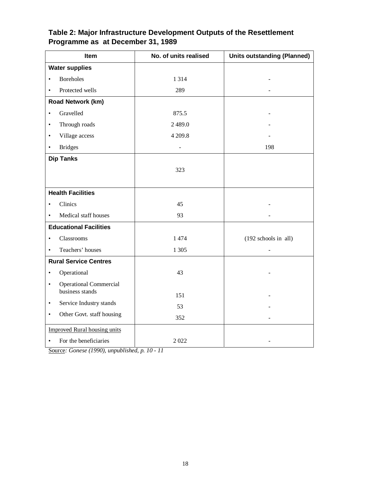# **Table 2: Major Infrastructure Development Outputs of the Resettlement Programme as at December 31, 1989**

| Item                                       | No. of units realised    | <b>Units outstanding (Planned)</b> |
|--------------------------------------------|--------------------------|------------------------------------|
| <b>Water supplies</b>                      |                          |                                    |
| <b>Boreholes</b><br>$\bullet$              | 1 3 1 4                  |                                    |
| Protected wells<br>$\bullet$               | 289                      |                                    |
| Road Network (km)                          |                          |                                    |
| Gravelled<br>$\bullet$                     | 875.5                    |                                    |
| Through roads<br>$\bullet$                 | 2489.0                   |                                    |
| Village access<br>$\bullet$                | 4 209.8                  |                                    |
| <b>Bridges</b><br>$\bullet$                | $\overline{\phantom{0}}$ | 198                                |
| <b>Dip Tanks</b>                           |                          |                                    |
|                                            | 323                      |                                    |
|                                            |                          |                                    |
| <b>Health Facilities</b>                   |                          |                                    |
| Clinics<br>$\bullet$                       | 45                       |                                    |
| Medical staff houses<br>$\bullet$          | 93                       |                                    |
| <b>Educational Facilities</b>              |                          |                                    |
| Classrooms<br>$\bullet$                    | 1474                     | (192 schools in all)               |
| Teachers' houses<br>$\bullet$              | 1 3 0 5                  |                                    |
| <b>Rural Service Centres</b>               |                          |                                    |
| Operational<br>$\bullet$                   | 43                       |                                    |
| <b>Operational Commercial</b><br>$\bullet$ |                          |                                    |
| business stands                            | 151                      |                                    |
| Service Industry stands<br>$\bullet$       | 53                       |                                    |
| Other Govt. staff housing<br>$\bullet$     | 352                      |                                    |
| <b>Improved Rural housing units</b>        |                          |                                    |
| For the beneficiaries<br>$\bullet$         | 2022                     |                                    |

Source*: Gonese (1990), unpublished, p. 10 - 11*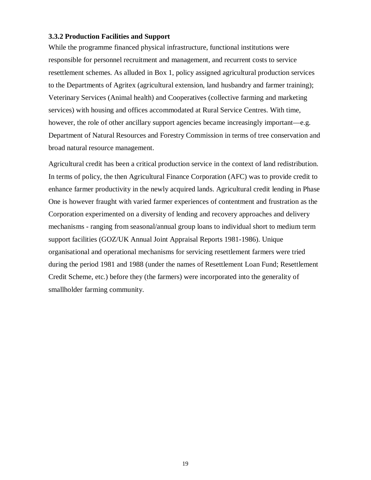#### **3.3.2 Production Facilities and Support**

While the programme financed physical infrastructure, functional institutions were responsible for personnel recruitment and management, and recurrent costs to service resettlement schemes. As alluded in Box 1, policy assigned agricultural production services to the Departments of Agritex (agricultural extension, land husbandry and farmer training); Veterinary Services (Animal health) and Cooperatives (collective farming and marketing services) with housing and offices accommodated at Rural Service Centres. With time, however, the role of other ancillary support agencies became increasingly important—e.g. Department of Natural Resources and Forestry Commission in terms of tree conservation and broad natural resource management.

Agricultural credit has been a critical production service in the context of land redistribution. In terms of policy, the then Agricultural Finance Corporation (AFC) was to provide credit to enhance farmer productivity in the newly acquired lands. Agricultural credit lending in Phase One is however fraught with varied farmer experiences of contentment and frustration as the Corporation experimented on a diversity of lending and recovery approaches and delivery mechanisms - ranging from seasonal/annual group loans to individual short to medium term support facilities (GOZ/UK Annual Joint Appraisal Reports 1981-1986). Unique organisational and operational mechanisms for servicing resettlement farmers were tried during the period 1981 and 1988 (under the names of Resettlement Loan Fund; Resettlement Credit Scheme, etc.) before they (the farmers) were incorporated into the generality of smallholder farming community.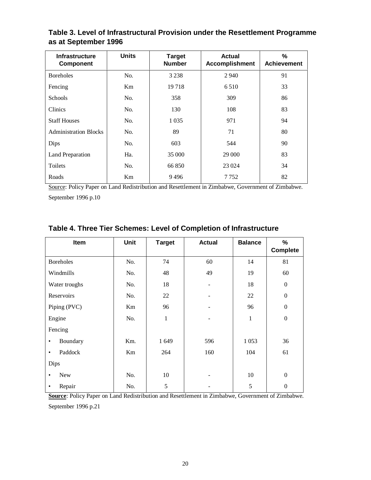| <b>Infrastructure</b><br><b>Component</b> | <b>Units</b>   | <b>Target</b><br><b>Number</b> | <b>Actual</b><br><b>Accomplishment</b> | %<br><b>Achievement</b> |
|-------------------------------------------|----------------|--------------------------------|----------------------------------------|-------------------------|
| <b>Boreholes</b>                          | No.            | 3 2 3 8                        | 2 9 4 0                                | 91                      |
| Fencing                                   | K <sub>m</sub> | 19718                          | 6 5 1 0                                | 33                      |
| <b>Schools</b>                            | No.            | 358                            | 309                                    | 86                      |
| <b>Clinics</b>                            | No.            | 130                            | 108                                    | 83                      |
| <b>Staff Houses</b>                       | No.            | 1 0 3 5                        | 971                                    | 94                      |
| <b>Administration Blocks</b>              | No.            | 89                             | 71                                     | 80                      |
| Dips                                      | No.            | 603                            | 544                                    | 90                      |
| Land Preparation                          | Ha.            | 35 000                         | 29 000                                 | 83                      |
| Toilets                                   | No.            | 66850                          | 23 0 24                                | 34                      |
| Roads                                     | Km             | 9496                           | 7 7 5 2                                | 82                      |

**Table 3. Level of Infrastructural Provision under the Resettlement Programme as at September 1996**

Source: Policy Paper on Land Redistribution and Resettlement in Zimbabwe, Government of Zimbabwe. September 1996 p.10

| Table 4. Three Tier Schemes: Level of Completion of Infrastructure |  |  |  |  |  |  |
|--------------------------------------------------------------------|--|--|--|--|--|--|
|--------------------------------------------------------------------|--|--|--|--|--|--|

| Item             | Unit | <b>Target</b> | <b>Actual</b> | <b>Balance</b> | %<br><b>Complete</b> |
|------------------|------|---------------|---------------|----------------|----------------------|
| <b>Boreholes</b> | No.  | 74            | 60            | 14             | 81                   |
| Windmills        | No.  | 48            | 49            | 19             | 60                   |
| Water troughs    | No.  | 18            |               | 18             | $\boldsymbol{0}$     |
| Reservoirs       | No.  | 22            |               | 22             | $\boldsymbol{0}$     |
| Piping (PVC)     | Km   | 96            |               | 96             | $\boldsymbol{0}$     |
| Engine           | No.  | 1             |               | $\mathbf 1$    | $\boldsymbol{0}$     |
| Fencing          |      |               |               |                |                      |
| Boundary<br>٠    | Km.  | 1 649         | 596           | 1053           | 36                   |
| Paddock<br>٠     | Km   | 264           | 160           | 104            | 61                   |
| Dips             |      |               |               |                |                      |
| <b>New</b><br>٠  | No.  | 10            |               | 10             | $\Omega$             |
| Repair<br>٠      | No.  | 5             |               | 5              | $\boldsymbol{0}$     |

**Source**: Policy Paper on Land Redistribution and Resettlement in Zimbabwe, Government of Zimbabwe. September 1996 p.21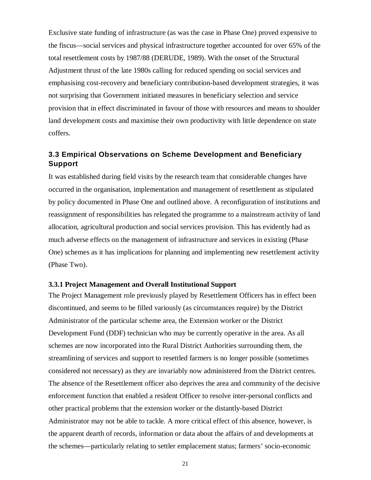Exclusive state funding of infrastructure (as was the case in Phase One) proved expensive to the fiscus—social services and physical infrastructure together accounted for over 65% of the total resettlement costs by 1987/88 (DERUDE, 1989). With the onset of the Structural Adjustment thrust of the late 1980s calling for reduced spending on social services and emphasising cost-recovery and beneficiary contribution-based development strategies, it was not surprising that Government initiated measures in beneficiary selection and service provision that in effect discriminated in favour of those with resources and means to shoulder land development costs and maximise their own productivity with little dependence on state coffers.

# **3.3 Empirical Observations on Scheme Development and Beneficiary Support**

It was established during field visits by the research team that considerable changes have occurred in the organisation, implementation and management of resettlement as stipulated by policy documented in Phase One and outlined above. A reconfiguration of institutions and reassignment of responsibilities has relegated the programme to a mainstream activity of land allocation, agricultural production and social services provision. This has evidently had as much adverse effects on the management of infrastructure and services in existing (Phase One) schemes as it has implications for planning and implementing new resettlement activity (Phase Two).

#### **3.3.1 Project Management and Overall Institutional Support**

The Project Management role previously played by Resettlement Officers has in effect been discontinued, and seems to be filled variously (as circumstances require) by the District Administrator of the particular scheme area, the Extension worker or the District Development Fund (DDF) technician who may be currently operative in the area. As all schemes are now incorporated into the Rural District Authorities surrounding them, the streamlining of services and support to resettled farmers is no longer possible (sometimes considered not necessary) as they are invariably now administered from the District centres. The absence of the Resettlement officer also deprives the area and community of the decisive enforcement function that enabled a resident Officer to resolve inter-personal conflicts and other practical problems that the extension worker or the distantly-based District Administrator may not be able to tackle. A more critical effect of this absence, however, is the apparent dearth of records, information or data about the affairs of and developments at the schemes—particularly relating to settler emplacement status; farmers' socio-economic

21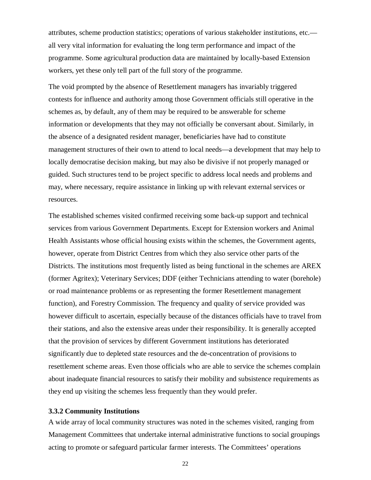attributes, scheme production statistics; operations of various stakeholder institutions, etc. all very vital information for evaluating the long term performance and impact of the programme. Some agricultural production data are maintained by locally-based Extension workers, yet these only tell part of the full story of the programme.

The void prompted by the absence of Resettlement managers has invariably triggered contests for influence and authority among those Government officials still operative in the schemes as, by default, any of them may be required to be answerable for scheme information or developments that they may not officially be conversant about. Similarly, in the absence of a designated resident manager, beneficiaries have had to constitute management structures of their own to attend to local needs—a development that may help to locally democratise decision making, but may also be divisive if not properly managed or guided. Such structures tend to be project specific to address local needs and problems and may, where necessary, require assistance in linking up with relevant external services or resources.

The established schemes visited confirmed receiving some back-up support and technical services from various Government Departments. Except for Extension workers and Animal Health Assistants whose official housing exists within the schemes, the Government agents, however, operate from District Centres from which they also service other parts of the Districts. The institutions most frequently listed as being functional in the schemes are AREX (former Agritex); Veterinary Services; DDF (either Technicians attending to water (borehole) or road maintenance problems or as representing the former Resettlement management function), and Forestry Commission. The frequency and quality of service provided was however difficult to ascertain, especially because of the distances officials have to travel from their stations, and also the extensive areas under their responsibility. It is generally accepted that the provision of services by different Government institutions has deteriorated significantly due to depleted state resources and the de-concentration of provisions to resettlement scheme areas. Even those officials who are able to service the schemes complain about inadequate financial resources to satisfy their mobility and subsistence requirements as they end up visiting the schemes less frequently than they would prefer.

#### **3.3.2 Community Institutions**

A wide array of local community structures was noted in the schemes visited, ranging from Management Committees that undertake internal administrative functions to social groupings acting to promote or safeguard particular farmer interests. The Committees' operations

22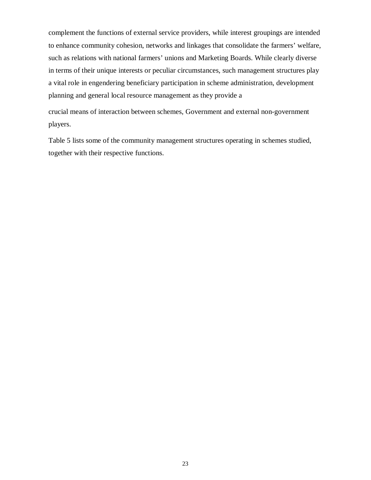complement the functions of external service providers, while interest groupings are intended to enhance community cohesion, networks and linkages that consolidate the farmers' welfare, such as relations with national farmers' unions and Marketing Boards. While clearly diverse in terms of their unique interests or peculiar circumstances, such management structures play a vital role in engendering beneficiary participation in scheme administration, development planning and general local resource management as they provide a

crucial means of interaction between schemes, Government and external non-government players.

Table 5 lists some of the community management structures operating in schemes studied, together with their respective functions.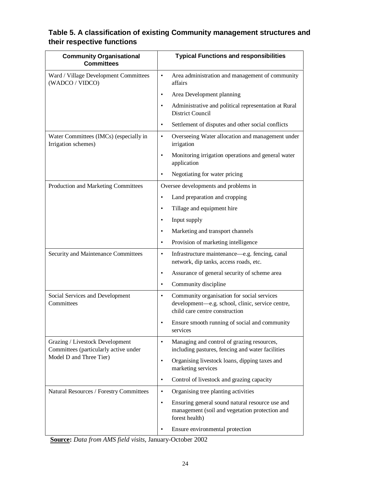# **Table 5. A classification of existing Community management structures and their respective functions**

| <b>Community Organisational</b><br><b>Committees</b>                     | <b>Typical Functions and responsibilities</b>                                                                                                 |
|--------------------------------------------------------------------------|-----------------------------------------------------------------------------------------------------------------------------------------------|
| Ward / Village Development Committees<br>(WADCO / VIDCO)                 | Area administration and management of community<br>$\bullet$<br>affairs                                                                       |
|                                                                          | Area Development planning<br>$\bullet$                                                                                                        |
|                                                                          | Administrative and political representation at Rural<br>$\bullet$<br><b>District Council</b>                                                  |
|                                                                          | Settlement of disputes and other social conflicts<br>$\bullet$                                                                                |
| Water Committees (IMCs) (especially in<br>Irrigation schemes)            | Overseeing Water allocation and management under<br>$\bullet$<br>irrigation                                                                   |
|                                                                          | Monitoring irrigation operations and general water<br>$\bullet$<br>application                                                                |
|                                                                          | Negotiating for water pricing                                                                                                                 |
| Production and Marketing Committees                                      | Oversee developments and problems in                                                                                                          |
|                                                                          | Land preparation and cropping<br>$\bullet$                                                                                                    |
|                                                                          | Tillage and equipment hire<br>$\bullet$                                                                                                       |
|                                                                          | Input supply<br>$\bullet$                                                                                                                     |
|                                                                          | Marketing and transport channels<br>$\bullet$                                                                                                 |
|                                                                          | Provision of marketing intelligence<br>$\bullet$                                                                                              |
| Security and Maintenance Committees                                      | Infrastructure maintenance—e.g. fencing, canal<br>$\bullet$<br>network, dip tanks, access roads, etc.                                         |
|                                                                          | Assurance of general security of scheme area<br>$\bullet$                                                                                     |
|                                                                          | Community discipline<br>$\bullet$                                                                                                             |
| Social Services and Development<br>Committees                            | Community organisation for social services<br>$\bullet$<br>development-e.g. school, clinic, service centre,<br>child care centre construction |
|                                                                          | Ensure smooth running of social and community<br>services                                                                                     |
| Grazing / Livestock Development<br>Committees (particularly active under | Managing and control of grazing resources,<br>$\bullet$<br>including pastures, fencing and water facilities                                   |
| Model D and Three Tier)                                                  | Organising livestock loans, dipping taxes and<br>$\bullet$<br>marketing services                                                              |
|                                                                          | Control of livestock and grazing capacity<br>$\bullet$                                                                                        |
| Natural Resources / Forestry Committees                                  | Organising tree planting activities<br>$\bullet$                                                                                              |
|                                                                          | Ensuring general sound natural resource use and<br>$\bullet$<br>management (soil and vegetation protection and<br>forest health)              |
|                                                                          | Ensure environmental protection<br>$\bullet$                                                                                                  |

**Source:** *Data from AMS field visits*, January-October 2002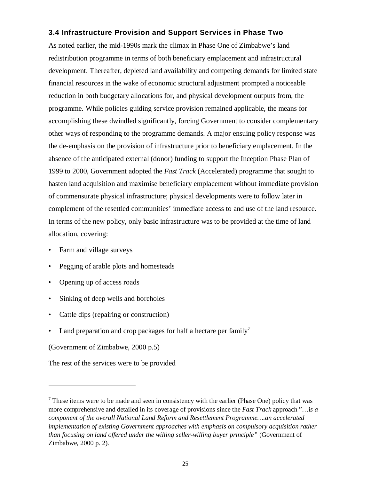# **3.4 Infrastructure Provision and Support Services in Phase Two**

As noted earlier, the mid-1990s mark the climax in Phase One of Zimbabwe's land redistribution programme in terms of both beneficiary emplacement and infrastructural development. Thereafter, depleted land availability and competing demands for limited state financial resources in the wake of economic structural adjustment prompted a noticeable reduction in both budgetary allocations for, and physical development outputs from, the programme. While policies guiding service provision remained applicable, the means for accomplishing these dwindled significantly, forcing Government to consider complementary other ways of responding to the programme demands. A major ensuing policy response was the de-emphasis on the provision of infrastructure prior to beneficiary emplacement. In the absence of the anticipated external (donor) funding to support the Inception Phase Plan of 1999 to 2000, Government adopted the *Fast Track* (Accelerated) programme that sought to hasten land acquisition and maximise beneficiary emplacement without immediate provision of commensurate physical infrastructure; physical developments were to follow later in complement of the resettled communities' immediate access to and use of the land resource. In terms of the new policy, only basic infrastructure was to be provided at the time of land allocation, covering:

- Farm and village surveys
- Pegging of arable plots and homesteads
- Opening up of access roads
- Sinking of deep wells and boreholes
- Cattle dips (repairing or construction)
- Land preparation and crop packages for half a hectare per family<sup> $7$ </sup>

(Government of Zimbabwe, 2000 p.5)

 $\overline{a}$ 

The rest of the services were to be provided

 $<sup>7</sup>$  These items were to be made and seen in consistency with the earlier (Phase One) policy that was</sup> more comprehensive and detailed in its coverage of provisions since the *Fast Track* approach "…i*s a component of the overall National Land Reform and Resettlement Programme….an accelerated implementation of existing Government approaches with emphasis on compulsory acquisition rather than focusing on land offered under the willing seller-willing buyer principle"* (Government of Zimbabwe, 2000 p. 2).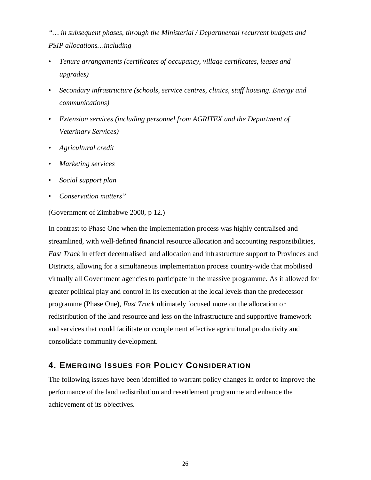*"… in subsequent phases, through the Ministerial / Departmental recurrent budgets and PSIP allocations…including*

- *Tenure arrangements (certificates of occupancy, village certificates, leases and upgrades)*
- *Secondary infrastructure (schools, service centres, clinics, staff housing. Energy and communications)*
- *Extension services (including personnel from AGRITEX and the Department of Veterinary Services)*
- *Agricultural credit*
- *Marketing services*
- *Social support plan*
- *Conservation matters"*

#### (Government of Zimbabwe 2000, p 12.)

In contrast to Phase One when the implementation process was highly centralised and streamlined, with well-defined financial resource allocation and accounting responsibilities, *Fast Track* in effect decentralised land allocation and infrastructure support to Provinces and Districts, allowing for a simultaneous implementation process country-wide that mobilised virtually all Government agencies to participate in the massive programme. As it allowed for greater political play and control in its execution at the local levels than the predecessor programme (Phase One), *Fast Track* ultimately focused more on the allocation or redistribution of the land resource and less on the infrastructure and supportive framework and services that could facilitate or complement effective agricultural productivity and consolidate community development.

# **4. EMERGING ISSUES FOR POLICY CONSIDERATION**

The following issues have been identified to warrant policy changes in order to improve the performance of the land redistribution and resettlement programme and enhance the achievement of its objectives.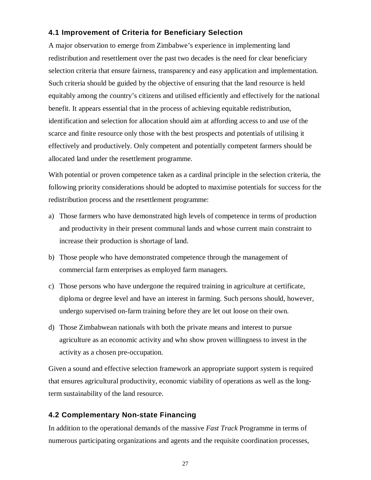### **4.1 Improvement of Criteria for Beneficiary Selection**

A major observation to emerge from Zimbabwe's experience in implementing land redistribution and resettlement over the past two decades is the need for clear beneficiary selection criteria that ensure fairness, transparency and easy application and implementation. Such criteria should be guided by the objective of ensuring that the land resource is held equitably among the country's citizens and utilised efficiently and effectively for the national benefit. It appears essential that in the process of achieving equitable redistribution, identification and selection for allocation should aim at affording access to and use of the scarce and finite resource only those with the best prospects and potentials of utilising it effectively and productively. Only competent and potentially competent farmers should be allocated land under the resettlement programme.

With potential or proven competence taken as a cardinal principle in the selection criteria, the following priority considerations should be adopted to maximise potentials for success for the redistribution process and the resettlement programme:

- a) Those farmers who have demonstrated high levels of competence in terms of production and productivity in their present communal lands and whose current main constraint to increase their production is shortage of land.
- b) Those people who have demonstrated competence through the management of commercial farm enterprises as employed farm managers.
- c) Those persons who have undergone the required training in agriculture at certificate, diploma or degree level and have an interest in farming. Such persons should, however, undergo supervised on-farm training before they are let out loose on their own.
- d) Those Zimbabwean nationals with both the private means and interest to pursue agriculture as an economic activity and who show proven willingness to invest in the activity as a chosen pre-occupation.

Given a sound and effective selection framework an appropriate support system is required that ensures agricultural productivity, economic viability of operations as well as the longterm sustainability of the land resource.

# **4.2 Complementary Non-state Financing**

In addition to the operational demands of the massive *Fast Track* Programme in terms of numerous participating organizations and agents and the requisite coordination processes,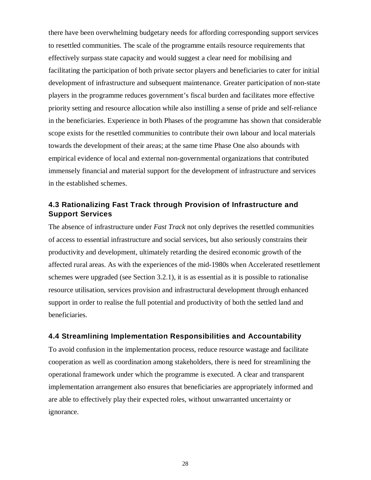there have been overwhelming budgetary needs for affording corresponding support services to resettled communities. The scale of the programme entails resource requirements that effectively surpass state capacity and would suggest a clear need for mobilising and facilitating the participation of both private sector players and beneficiaries to cater for initial development of infrastructure and subsequent maintenance. Greater participation of non-state players in the programme reduces government's fiscal burden and facilitates more effective priority setting and resource allocation while also instilling a sense of pride and self-reliance in the beneficiaries. Experience in both Phases of the programme has shown that considerable scope exists for the resettled communities to contribute their own labour and local materials towards the development of their areas; at the same time Phase One also abounds with empirical evidence of local and external non-governmental organizations that contributed immensely financial and material support for the development of infrastructure and services in the established schemes.

### **4.3 Rationalizing Fast Track through Provision of Infrastructure and Support Services**

The absence of infrastructure under *Fast Track* not only deprives the resettled communities of access to essential infrastructure and social services, but also seriously constrains their productivity and development, ultimately retarding the desired economic growth of the affected rural areas. As with the experiences of the mid-1980s when Accelerated resettlement schemes were upgraded (see Section 3.2.1), it is as essential as it is possible to rationalise resource utilisation, services provision and infrastructural development through enhanced support in order to realise the full potential and productivity of both the settled land and beneficiaries.

#### **4.4 Streamlining Implementation Responsibilities and Accountability**

To avoid confusion in the implementation process, reduce resource wastage and facilitate cooperation as well as coordination among stakeholders, there is need for streamlining the operational framework under which the programme is executed. A clear and transparent implementation arrangement also ensures that beneficiaries are appropriately informed and are able to effectively play their expected roles, without unwarranted uncertainty or ignorance.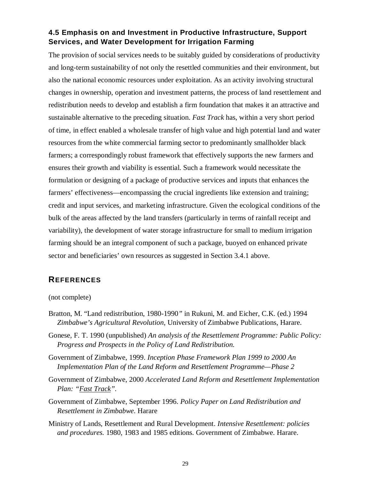# **4.5 Emphasis on and Investment in Productive Infrastructure, Support Services, and Water Development for Irrigation Farming**

The provision of social services needs to be suitably guided by considerations of productivity and long-term sustainability of not only the resettled communities and their environment, but also the national economic resources under exploitation. As an activity involving structural changes in ownership, operation and investment patterns, the process of land resettlement and redistribution needs to develop and establish a firm foundation that makes it an attractive and sustainable alternative to the preceding situation. *Fast Track* has, within a very short period of time, in effect enabled a wholesale transfer of high value and high potential land and water resources from the white commercial farming sector to predominantly smallholder black farmers; a correspondingly robust framework that effectively supports the new farmers and ensures their growth and viability is essential. Such a framework would necessitate the formulation or designing of a package of productive services and inputs that enhances the farmers' effectiveness—encompassing the crucial ingredients like extension and training; credit and input services, and marketing infrastructure. Given the ecological conditions of the bulk of the areas affected by the land transfers (particularly in terms of rainfall receipt and variability), the development of water storage infrastructure for small to medium irrigation farming should be an integral component of such a package, buoyed on enhanced private sector and beneficiaries' own resources as suggested in Section 3.4.1 above.

### **REFERENCES**

#### (not complete)

- Bratton, M. "Land redistribution, 1980-1990*"* in Rukuni, M. and Eicher, C.K. (ed.) 1994 *Zimbabwe's Agricultural Revolution*, University of Zimbabwe Publications, Harare.
- Gonese, F. T. 1990 (unpublished) *An analysis of the Resettlement Programme: Public Policy: Progress and Prospects in the Policy of Land Redistribution.*
- Government of Zimbabwe, 1999. *Inception Phase Framework Plan 1999 to 2000 An Implementation Plan of the Land Reform and Resettlement Programme—Phase 2*
- Government of Zimbabwe, 2000 *Accelerated Land Reform and Resettlement Implementation Plan: "Fast Track".*
- Government of Zimbabwe, September 1996. *Policy Paper on Land Redistribution and Resettlement in Zimbabwe*. Harare
- Ministry of Lands, Resettlement and Rural Development. *Intensive Resettlement: policies and procedures.* 1980, 1983 and 1985 editions. Government of Zimbabwe. Harare.